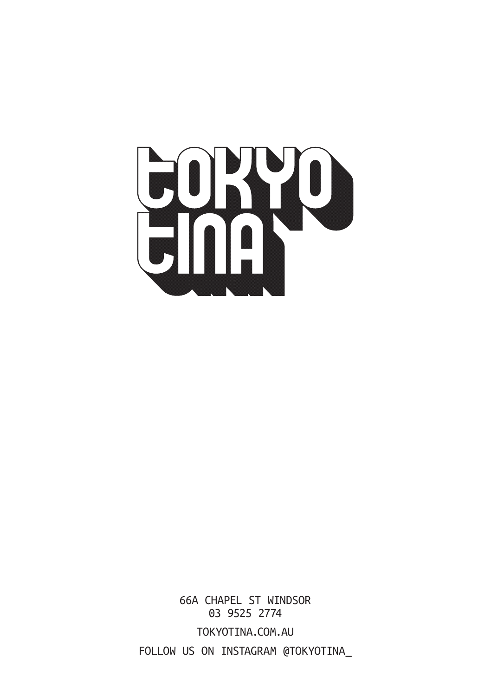

66A CHAPEL ST WINDSOR 03 9525 2774 TOKYOTINA.COM.AU FOLLOW US ON INSTAGRAM @TOKYOTINA\_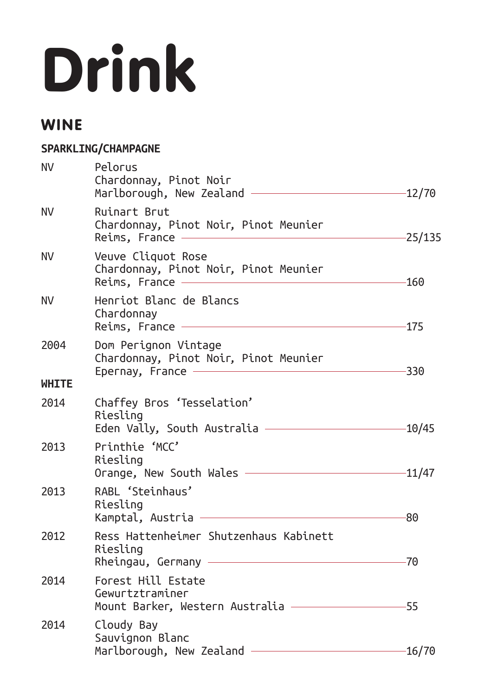# Drink

## WINE

#### **SPARKLING/CHAMPAGNE**

| <b>NV</b>    | Pelorus<br>Chardonnay, Pinot Noir<br>Marlborough, New Zealand ———                                                                                                                     | -12/70    |
|--------------|---------------------------------------------------------------------------------------------------------------------------------------------------------------------------------------|-----------|
| NV.          | Ruinart Brut<br>Chardonnay, Pinot Noir, Pinot Meunier<br>Reims, France ——                                                                                                             | $-25/135$ |
| NV.          | Veuve Cliquot Rose<br>Chardonnay, Pinot Noir, Pinot Meunier<br>Reims, France ————————                                                                                                 | $-160$    |
| NV.          | Henriot Blanc de Blancs<br>Chardonnav<br><u> 1989 - Johann Stein, markin film yn y brenin y brenin y brenin y brenin y brenin y brenin y brenin y brenin y</u><br>$Reims,$ France $-$ | -175      |
| 2004         | Dom Perignon Vintage<br>Chardonnay, Pinot Noir, Pinot Meunier<br>Epernay, France ——                                                                                                   | -330      |
| <b>WHITE</b> |                                                                                                                                                                                       |           |
| 2014         | Chaffey Bros 'Tesselation'<br>Riesling<br>Eden Vally, South Australia —————————                                                                                                       | -10/45    |
| 2013         | Printhie 'MCC'<br>Riesling<br>Orange, New South Wales <u>- 2008 - 2014</u>                                                                                                            |           |
| 2013         | RABL 'Steinhaus'<br>Riesling<br><u> 1989 - Johann Barn, mars ann an t-Amhain an t-Amhain an t-Amhain an t-Amhain an t-Amhain an t-Amhain an t-A</u><br>Kamptal, Austria -             | -80       |
| 2012         | Ress Hattenheimer Shutzenhaus Kabinett<br>Riesling                                                                                                                                    | $-70$     |
| 2014         | Forest Hill Estate<br>Gewurtztraminer<br>Mount Barker, Western Australia —————————                                                                                                    | $-55$     |
| 2014         | Cloudy Bay<br>Sauvignon Blanc<br>Marlborough, New Zealand $-$                                                                                                                         | -16/70    |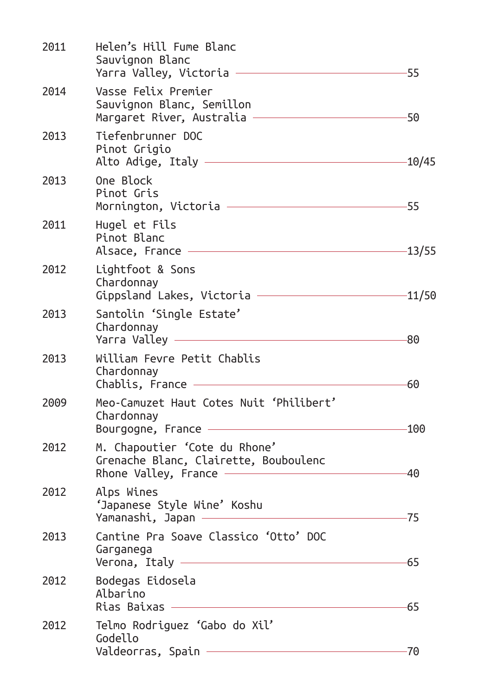| 2011 | Helen's Hill Fume Blanc<br>Sauvignon Blanc<br>Yarra Valley, Victoria -                                             | 55       |
|------|--------------------------------------------------------------------------------------------------------------------|----------|
| 2014 | Vasse Felix Premier<br>Sauvignon Blanc, Semillon<br>Margaret River, Australia -                                    | -50      |
| 2013 | Tiefenbrunner DOC<br>Pinot Grigio<br><u> 1989 - Johann Stoff, Amerikaansk politiker (</u><br>Alto Adige, Italy $-$ | -10/45   |
| 2013 | One Block<br>Pinot Gris<br>Mornington, Victoria ————————————————————                                               | -55      |
| 2011 | Hugel et Fils<br>Pinot Blanc<br>Alsace, France                                                                     | $-13/55$ |
| 2012 | Lightfoot & Sons<br>Chardonnay<br>Gippsland Lakes, Victoria ————————                                               | 11/50-   |
| 2013 | Santolin 'Single Estate'<br>Chardonnay<br><u> 1980 - Johann Barbara, martxa al</u><br>Yarra Valley                 | 80       |
| 2013 | William Fevre Petit Chablis<br>Chardonnay<br>Chablis, France                                                       | -60      |
| 2009 | Meo-Camuzet Haut Cotes Nuit 'Philibert'<br>Chardonnay<br>Bourgogne, France -                                       | -100     |
| 2012 | M. Chapoutier 'Cote du Rhone'<br>Grenache Blanc, Clairette, Bouboulenc<br>Rhone Valley, France $-$                 | -40      |
| 2012 | Alps Wines<br>'Japanese Style Wine' Koshu<br>Yamanashi, Japan ——————                                               | $-75$    |
| 2013 | Cantine Pra Soave Classico 'Otto' DOC<br>Garganega<br>Verona, Italy —                                              | -65      |
| 2012 | Bodegas Eidosela<br>Albarino<br>Rias Baixas                                                                        | 65       |
| 2012 | Telmo Rodriguez 'Gabo do Xil'<br>Godello<br>Valdeorras, Spain –                                                    | -70      |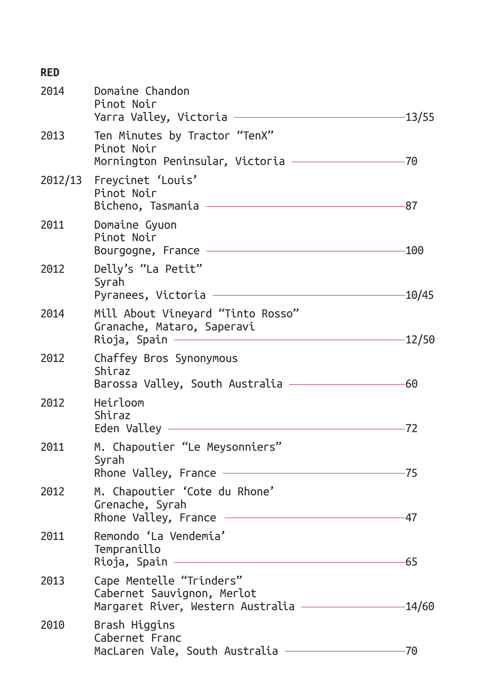| <b>RED</b> |                                                                                                                                                                     |          |
|------------|---------------------------------------------------------------------------------------------------------------------------------------------------------------------|----------|
| 2014       | Domaine Chandon<br>Pinot Noir<br>Yarra Valley, Victoria                                                                                                             | $-13/55$ |
| 2013       | Ten Minutes by Tractor "TenX"<br>Pinot Noir<br>Mornington Peninsular, Victoria -                                                                                    | -70      |
| 2012/13    | Freycinet 'Louis'<br>Pinot Noir<br>Bicheno, Tasmania —                                                                                                              | -87      |
| 2011       | Domaine Gyuon<br>Pinot Noir<br>Bourgogne, France                                                                                                                    | -100     |
| 2012       | Delly's "La Petit"<br>Syrah<br>Pyranees, Victoria —                                                                                                                 | -10/45   |
| 2014       | Mill About Vineyard "Tinto Rosso"<br>Granache, Mataro, Saperavi<br>Rioja, Spain —                                                                                   | -12/50   |
| 2012       | Chaffey Bros Synonymous<br>Shiraz<br>Barossa Valley, South Australia $-$                                                                                            | -60      |
| 2012       | Heirloom<br>Shiraz<br>Eden Valley $-\hspace{-1em}-\hspace{-1em}-\hspace{-1em}-\hspace{-1em}-\hspace{-1em}-\hspace{-1em}-\hspace{-1em}-\hspace{-1em}-\hspace{-1em}-$ | -72      |
| 2011       | M. Chapoutier "Le Meysonniers"<br>Syrah<br>Rhone Valley, France ——                                                                                                  |          |
| 2012       | M. Chapoutier 'Cote du Rhone'<br>Grenache, Syrah<br>Rhone Valley, France                                                                                            | -47      |
| 2011       | Remondo 'La Vendemia'<br>Tempranillo<br>Rioja, Spain -                                                                                                              | 65       |
| 2013       | Cape Mentelle "Trinders"<br>Cabernet Sauvignon, Merlot<br>Margaret River, Western Australia —                                                                       | $-14/60$ |
| 2010       | Brash Higgins<br>Cabernet Franc<br>MacLaren Vale, South Australia -                                                                                                 | -70      |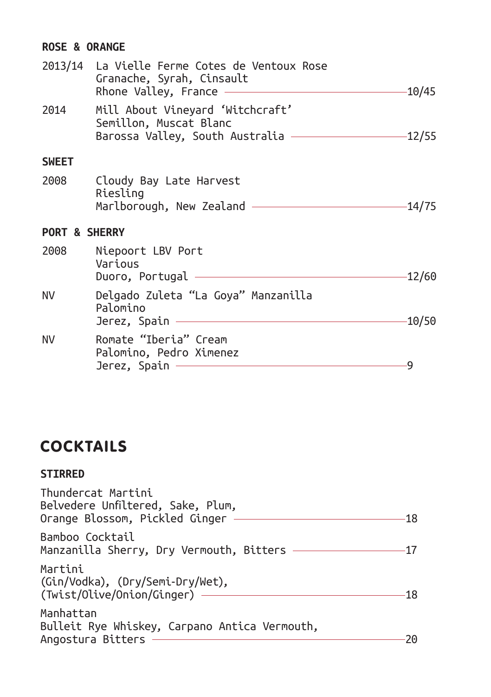#### **ROSE & ORANGE**

|                          | 2013/14 La Vielle Ferme Cotes de Ventoux Rose<br>Granache, Syrah, Cinsault<br>Rhone Valley, France – | 10/45    |
|--------------------------|------------------------------------------------------------------------------------------------------|----------|
| 2014                     | Mill About Vineyard 'Witchcraft'<br>Semillon, Muscat Blanc<br>Barossa Valley, South Australia —      | $-12/55$ |
| <b>SWEET</b>             |                                                                                                      |          |
| 2008                     | Cloudy Bay Late Harvest<br>Riesling<br>Marlborough, New Zealand ———                                  | -14/75   |
| <b>PORT &amp; SHERRY</b> |                                                                                                      |          |
| 2008                     | Niepoort LBV Port<br>Various<br>Duoro, Portugal                                                      | 12/60-   |
| NV.                      | Delgado Zuleta "La Goya" Manzanilla<br>Palomino<br>Jerez, Spain -                                    | $-10/50$ |
| <b>NV</b>                | Romate "Iberia" Cream<br>Palomino, Pedro Ximenez<br>Jerez, Spain                                     | 9        |

# **COCKTAILS**

#### **STIRRED**

| Thundercat Martini<br>Belvedere Unfiltered, Sake, Plum,<br>Orange Blossom, Pickled Ginger — |  |
|---------------------------------------------------------------------------------------------|--|
| Bamboo Cocktail<br>Manzanilla Sherry, Dry Vermouth, Bitters $-$                             |  |
| Martini<br>(Gin/Vodka), (Dry/Semi-Dry/Wet),<br>(Twist/Olive/Onion/Ginger) —                 |  |
| Manhattan<br>Bulleit Rye Whiskey, Carpano Antica Vermouth,<br>Angostura Bitters             |  |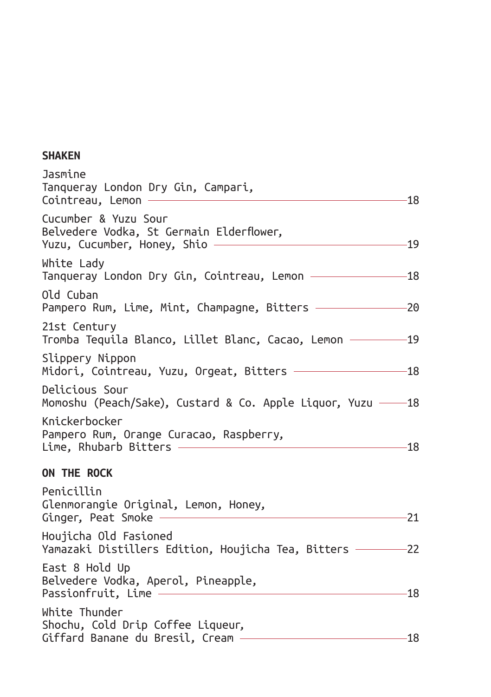#### **SHAKEN**

| Jasmine<br>Tanqueray London Dry Gin, Campari,<br>Cointreau, Lemon                                 | -18   |
|---------------------------------------------------------------------------------------------------|-------|
| Cucumber & Yuzu Sour<br>Belvedere Vodka, St Germain Elderflower,<br>Yuzu, Cucumber, Honey, Shio — | $-19$ |
| White Lady<br>Tanqueray London Dry Gin, Cointreau, Lemon ——————                                   | $-18$ |
| Old Cuban<br>Pampero Rum, Lime, Mint, Champagne, Bitters ———————                                  | $-20$ |
| 21st Century<br>Tromba Tequila Blanco, Lillet Blanc, Cacao, Lemon ——                              | $-19$ |
| Slippery Nippon<br>Midori, Cointreau, Yuzu, Orgeat, Bitters $-$                                   | $-18$ |
| Delicious Sour<br>Momoshu (Peach/Sake), Custard & Co. Apple Liquor, Yuzu — 18                     |       |
| Knickerbocker<br>Pampero Rum, Orange Curacao, Raspberry,<br>Lime, Rhubarb Bitters $-$             | $-18$ |
| ON THE ROCK                                                                                       |       |
| Penicillin<br>Glenmorangie Original, Lemon, Honey,<br>Ginger, Peat Smoke                          | 21    |
| Houjicha Old Fasioned<br>Yamazaki Distillers Edition, Houjicha Tea, Bitters -                     | $-22$ |
| East 8 Hold Up<br>Belvedere Vodka, Aperol, Pineapple,<br>Passionfruit, Lime                       | 18    |
| White Thunder<br>Shochu, Cold Drip Coffee Liqueur,<br>Giffard Banane du Bresil, Cream –           | -18   |
|                                                                                                   |       |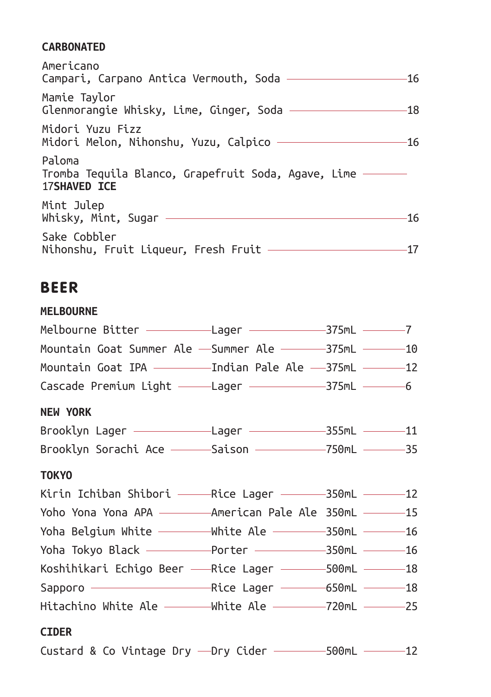#### **CARBONATED**

| Americano<br>Campari, Carpano Antica Vermouth, Soda ——————————                         | -16 |
|----------------------------------------------------------------------------------------|-----|
| Mamie Taylor<br>Glenmorangie Whisky, Lime, Ginger, Soda ——————————                     | -18 |
| Midori Yuzu Fizz<br>Midori Melon, Nihonshu, Yuzu, Calpico ———————————                  | -16 |
| Paloma<br>Tromba Tequila Blanco, Grapefruit Soda, Agave, Lime —<br><b>17SHAVED ICE</b> |     |
| Mint Julep                                                                             | 16  |
| Sake Cobbler<br>Nihonshu, Fruit Liqueur, Fresh Fruit -                                 |     |

## BEER

**MELBOURNE**

| Mountain Goat Summer Ale -Summer Ale ----375mL ----10     |  |  |
|-----------------------------------------------------------|--|--|
| Mountain Goat IPA ———————Indian Pale Ale ——375mL ————12   |  |  |
| Cascade Premium Light - Lager - 375mL - 6                 |  |  |
| <b>NEW YORK</b>                                           |  |  |
| Brooklyn Lager —————————————————————355mL —————11         |  |  |
| Brooklyn Sorachi Ace - Saison - 750mL - 35                |  |  |
| <b>TOKYO</b>                                              |  |  |
| Kirin Ichiban Shibori ———— Rice Lager ——————350mL —————12 |  |  |
| Yoho Yona Yona APA —————— American Pale Ale 350mL ———— 15 |  |  |
| Yoha Belgium White - White Ale - 350mL - 16               |  |  |
| Yoha Tokyo Black - Porter - 350mL - 16                    |  |  |
| Koshihikari Echigo Beer - Rice Lager - 500mL - 18         |  |  |
|                                                           |  |  |
| Hitachino White Ale - White Ale - 720mL - 25              |  |  |
| <b>CIDER</b>                                              |  |  |

Custard & Co Vintage Dry - Dry Cider - 500mL - 12